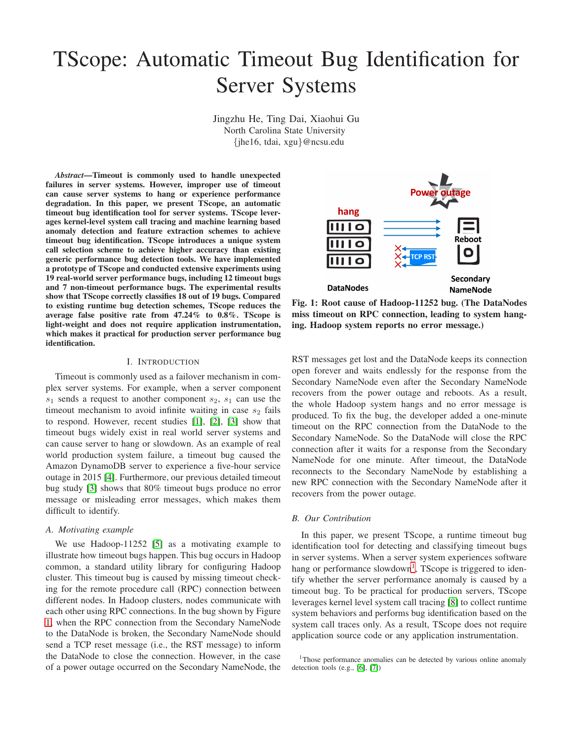# TScope: Automatic Timeout Bug Identification for Server Systems

Jingzhu He, Ting Dai, Xiaohui Gu North Carolina State University {jhe16, tdai, xgu}@ncsu.edu

*Abstract*—Timeout is commonly used to handle unexpected failures in server systems. However, improper use of timeout can cause server systems to hang or experience performance degradation. In this paper, we present TScope, an automatic timeout bug identification tool for server systems. TScope leverages kernel-level system call tracing and machine learning based anomaly detection and feature extraction schemes to achieve timeout bug identification. TScope introduces a unique system call selection scheme to achieve higher accuracy than existing generic performance bug detection tools. We have implemented a prototype of TScope and conducted extensive experiments using 19 real-world server performance bugs, including 12 timeout bugs and 7 non-timeout performance bugs. The experimental results show that TScope correctly classifies 18 out of 19 bugs. Compared to existing runtime bug detection schemes, TScope reduces the average false positive rate from 47.24% to 0.8%. TScope is light-weight and does not require application instrumentation, which makes it practical for production server performance bug identification.

#### I. INTRODUCTION

Timeout is commonly used as a failover mechanism in complex server systems. For example, when a server component  $s_1$  sends a request to another component  $s_2$ ,  $s_1$  can use the timeout mechanism to avoid infinite waiting in case  $s_2$  fails to respond. However, recent studies [\[1\]](#page-8-0), [\[2\]](#page-8-1), [\[3\]](#page-9-0) show that timeout bugs widely exist in real world server systems and can cause server to hang or slowdown. As an example of real world production system failure, a timeout bug caused the Amazon DynamoDB server to experience a five-hour service outage in 2015 [\[4\]](#page-9-1). Furthermore, our previous detailed timeout bug study [\[3\]](#page-9-0) shows that 80% timeout bugs produce no error message or misleading error messages, which makes them difficult to identify.

## *A. Motivating example*

We use Hadoop-11252 [\[5\]](#page-9-2) as a motivating example to illustrate how timeout bugs happen. This bug occurs in Hadoop common, a standard utility library for configuring Hadoop cluster. This timeout bug is caused by missing timeout checking for the remote procedure call (RPC) connection between different nodes. In Hadoop clusters, nodes communicate with each other using RPC connections. In the bug shown by Figure [1,](#page-0-0) when the RPC connection from the Secondary NameNode to the DataNode is broken, the Secondary NameNode should send a TCP reset message (i.e., the RST message) to inform the DataNode to close the connection. However, in the case of a power outage occurred on the Secondary NameNode, the

<span id="page-0-0"></span>

Fig. 1: Root cause of Hadoop-11252 bug. (The DataNodes miss timeout on RPC connection, leading to system hanging. Hadoop system reports no error message.)

RST messages get lost and the DataNode keeps its connection open forever and waits endlessly for the response from the Secondary NameNode even after the Secondary NameNode recovers from the power outage and reboots. As a result, the whole Hadoop system hangs and no error message is produced. To fix the bug, the developer added a one-minute timeout on the RPC connection from the DataNode to the Secondary NameNode. So the DataNode will close the RPC connection after it waits for a response from the Secondary NameNode for one minute. After timeout, the DataNode reconnects to the Secondary NameNode by establishing a new RPC connection with the Secondary NameNode after it recovers from the power outage.

## *B. Our Contribution*

In this paper, we present TScope, a runtime timeout bug identification tool for detecting and classifying timeout bugs in server systems. When a server system experiences software hang or performance slowdown<sup>[1](#page-0-1)</sup>, TScope is triggered to identify whether the server performance anomaly is caused by a timeout bug. To be practical for production servers, TScope leverages kernel level system call tracing [\[8\]](#page-9-3) to collect runtime system behaviors and performs bug identification based on the system call traces only. As a result, TScope does not require application source code or any application instrumentation.

<span id="page-0-1"></span><sup>&</sup>lt;sup>1</sup>Those performance anomalies can be detected by various online anomaly detection tools (e.g., [\[6\]](#page-9-4), [\[7\]](#page-9-5))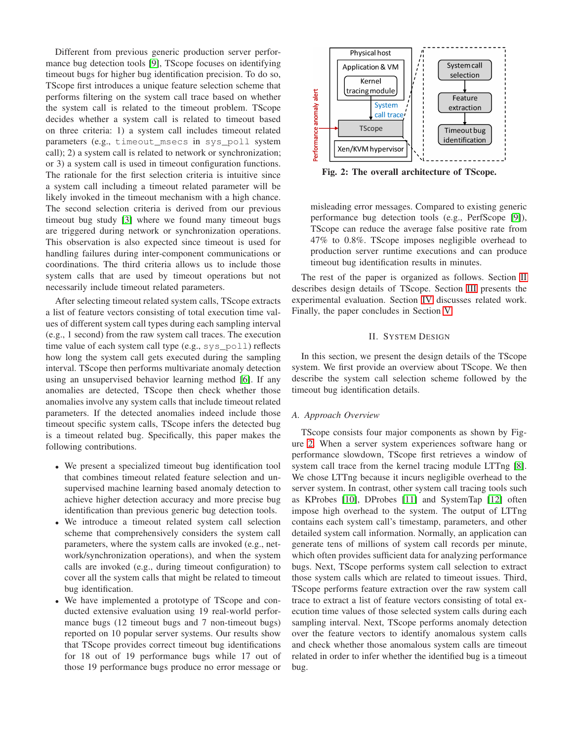Different from previous generic production server performance bug detection tools [\[9\]](#page-9-6), TScope focuses on identifying timeout bugs for higher bug identification precision. To do so, TScope first introduces a unique feature selection scheme that performs filtering on the system call trace based on whether the system call is related to the timeout problem. TScope decides whether a system call is related to timeout based on three criteria: 1) a system call includes timeout related parameters (e.g., timeout\_msecs in sys\_poll system call); 2) a system call is related to network or synchronization; or 3) a system call is used in timeout configuration functions. The rationale for the first selection criteria is intuitive since a system call including a timeout related parameter will be likely invoked in the timeout mechanism with a high chance. The second selection criteria is derived from our previous timeout bug study [\[3\]](#page-9-0) where we found many timeout bugs are triggered during network or synchronization operations. This observation is also expected since timeout is used for handling failures during inter-component communications or coordinations. The third criteria allows us to include those system calls that are used by timeout operations but not necessarily include timeout related parameters.

After selecting timeout related system calls, TScope extracts a list of feature vectors consisting of total execution time values of different system call types during each sampling interval (e.g., 1 second) from the raw system call traces. The execution time value of each system call type (e.g., sys poll) reflects how long the system call gets executed during the sampling interval. TScope then performs multivariate anomaly detection using an unsupervised behavior learning method [\[6\]](#page-9-4). If any anomalies are detected, TScope then check whether those anomalies involve any system calls that include timeout related parameters. If the detected anomalies indeed include those timeout specific system calls, TScope infers the detected bug is a timeout related bug. Specifically, this paper makes the following contributions.

- We present a specialized timeout bug identification tool that combines timeout related feature selection and unsupervised machine learning based anomaly detection to achieve higher detection accuracy and more precise bug identification than previous generic bug detection tools.
- We introduce a timeout related system call selection scheme that comprehensively considers the system call parameters, where the system calls are invoked (e.g., network/synchronization operations), and when the system calls are invoked (e.g., during timeout configuration) to cover all the system calls that might be related to timeout bug identification.
- We have implemented a prototype of TScope and conducted extensive evaluation using 19 real-world performance bugs (12 timeout bugs and 7 non-timeout bugs) reported on 10 popular server systems. Our results show that TScope provides correct timeout bug identifications for 18 out of 19 performance bugs while 17 out of those 19 performance bugs produce no error message or

<span id="page-1-1"></span>

Fig. 2: The overall architecture of TScope.

misleading error messages. Compared to existing generic performance bug detection tools (e.g., PerfScope [\[9\]](#page-9-6)), TScope can reduce the average false positive rate from 47% to 0.8%. TScope imposes negligible overhead to production server runtime executions and can produce timeout bug identification results in minutes.

The rest of the paper is organized as follows. Section [II](#page-1-0) describes design details of TScope. Section [III](#page-3-0) presents the experimental evaluation. Section [IV](#page-8-2) discusses related work. Finally, the paper concludes in Section [V.](#page-8-3)

## II. SYSTEM DESIGN

<span id="page-1-0"></span>In this section, we present the design details of the TScope system. We first provide an overview about TScope. We then describe the system call selection scheme followed by the timeout bug identification details.

# *A. Approach Overview*

TScope consists four major components as shown by Figure [2.](#page-1-1) When a server system experiences software hang or performance slowdown, TScope first retrieves a window of system call trace from the kernel tracing module LTTng [\[8\]](#page-9-3). We chose LTTng because it incurs negligible overhead to the server system. In contrast, other system call tracing tools such as KProbes [\[10\]](#page-9-7), DProbes [\[11\]](#page-9-8) and SystemTap [\[12\]](#page-9-9) often impose high overhead to the system. The output of LTTng contains each system call's timestamp, parameters, and other detailed system call information. Normally, an application can generate tens of millions of system call records per minute, which often provides sufficient data for analyzing performance bugs. Next, TScope performs system call selection to extract those system calls which are related to timeout issues. Third, TScope performs feature extraction over the raw system call trace to extract a list of feature vectors consisting of total execution time values of those selected system calls during each sampling interval. Next, TScope performs anomaly detection over the feature vectors to identify anomalous system calls and check whether those anomalous system calls are timeout related in order to infer whether the identified bug is a timeout bug.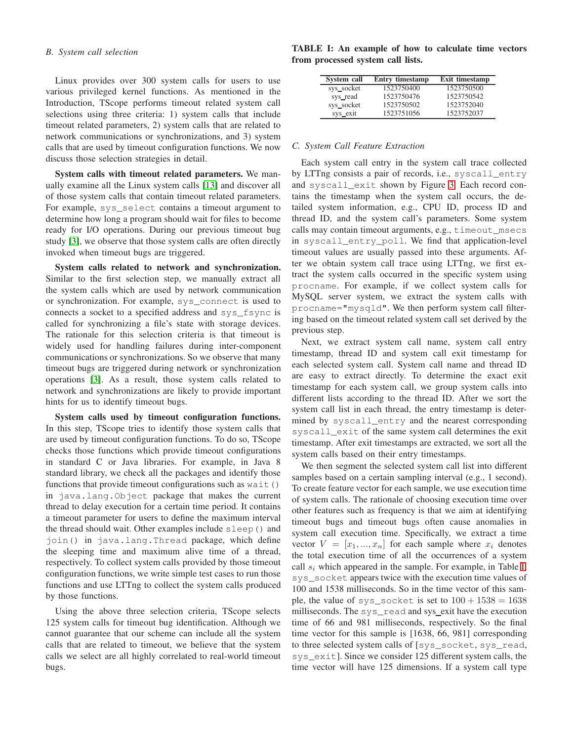# *B. System call selection*

Linux provides over 300 system calls for users to use various privileged kernel functions. As mentioned in the Introduction, TScope performs timeout related system call selections using three criteria: 1) system calls that include timeout related parameters, 2) system calls that are related to network communications or synchronizations, and 3) system calls that are used by timeout configuration functions. We now discuss those selection strategies in detail.

System calls with timeout related parameters. We manually examine all the Linux system calls [\[13\]](#page-9-10) and discover all of those system calls that contain timeout related parameters. For example, sys\_select contains a timeout argument to determine how long a program should wait for files to become ready for I/O operations. During our previous timeout bug study [\[3\]](#page-9-0), we observe that those system calls are often directly invoked when timeout bugs are triggered.

System calls related to network and synchronization. Similar to the first selection step, we manually extract all the system calls which are used by network communication or synchronization. For example, sys\_connect is used to connects a socket to a specified address and sys\_fsync is called for synchronizing a file's state with storage devices. The rationale for this selection criteria is that timeout is widely used for handling failures during inter-component communications or synchronizations. So we observe that many timeout bugs are triggered during network or synchronization operations [\[3\]](#page-9-0). As a result, those system calls related to network and synchronizations are likely to provide important hints for us to identify timeout bugs.

System calls used by timeout configuration functions. In this step, TScope tries to identify those system calls that are used by timeout configuration functions. To do so, TScope checks those functions which provide timeout configurations in standard C or Java libraries. For example, in Java 8 standard library, we check all the packages and identify those functions that provide timeout configurations such as wait () in java.lang.Object package that makes the current thread to delay execution for a certain time period. It contains a timeout parameter for users to define the maximum interval the thread should wait. Other examples include sleep() and join() in java.lang.Thread package, which define the sleeping time and maximum alive time of a thread, respectively. To collect system calls provided by those timeout configuration functions, we write simple test cases to run those functions and use LTTng to collect the system calls produced by those functions.

Using the above three selection criteria, TScope selects 125 system calls for timeout bug identification. Although we cannot guarantee that our scheme can include all the system calls that are related to timeout, we believe that the system calls we select are all highly correlated to real-world timeout bugs.

<span id="page-2-0"></span>TABLE I: An example of how to calculate time vectors from processed system call lists.

| System call | <b>Entry timestamp</b> | <b>Exit timestamp</b> |
|-------------|------------------------|-----------------------|
| sys_socket  | 1523750400             | 1523750500            |
| sys_read    | 1523750476             | 1523750542            |
| sys_socket  | 1523750502             | 1523752040            |
| sys_exit    | 1523751056             | 1523752037            |

#### *C. System Call Feature Extraction*

Each system call entry in the system call trace collected by LTTng consists a pair of records, i.e., syscall\_entry and syscall\_exit shown by Figure [3.](#page-3-1) Each record contains the timestamp when the system call occurs, the detailed system information, e.g., CPU ID, process ID and thread ID, and the system call's parameters. Some system calls may contain timeout arguments, e.g., timeout\_msecs in syscall\_entry\_poll. We find that application-level timeout values are usually passed into these arguments. After we obtain system call trace using LTTng, we first extract the system calls occurred in the specific system using procname. For example, if we collect system calls for MySQL server system, we extract the system calls with procname="mysqld". We then perform system call filtering based on the timeout related system call set derived by the previous step.

Next, we extract system call name, system call entry timestamp, thread ID and system call exit timestamp for each selected system call. System call name and thread ID are easy to extract directly. To determine the exact exit timestamp for each system call, we group system calls into different lists according to the thread ID. After we sort the system call list in each thread, the entry timestamp is determined by syscall\_entry and the nearest corresponding syscall\_exit of the same system call determines the exit timestamp. After exit timestamps are extracted, we sort all the system calls based on their entry timestamps.

We then segment the selected system call list into different samples based on a certain sampling interval (e.g., 1 second). To create feature vector for each sample, we use execution time of system calls. The rationale of choosing execution time over other features such as frequency is that we aim at identifying timeout bugs and timeout bugs often cause anomalies in system call execution time. Specifically, we extract a time vector  $V = [x_1, ..., x_n]$  for each sample where  $x_i$  denotes the total execution time of all the occurrences of a system call  $s_i$  which appeared in the sample. For example, in Table [I,](#page-2-0) sys\_socket appears twice with the execution time values of 100 and 1538 milliseconds. So in the time vector of this sample, the value of sys\_socket is set to  $100 + 1538 = 1638$ milliseconds. The sys\_read and sys\_exit have the execution time of 66 and 981 milliseconds, respectively. So the final time vector for this sample is [1638, 66, 981] corresponding to three selected system calls of [sys\_socket, sys\_read, sys\_exit]. Since we consider 125 different system calls, the time vector will have 125 dimensions. If a system call type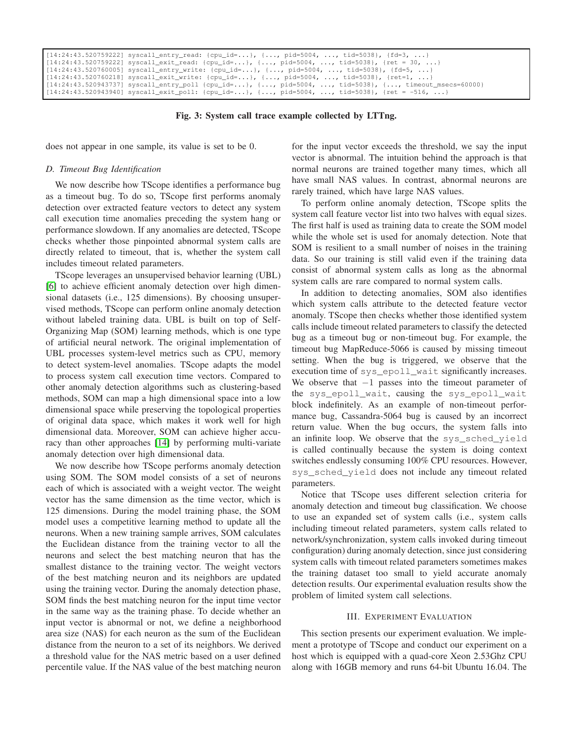<span id="page-3-1"></span>

| $[14:24:43.520759222]$ syscall_entry_read: {cpu_id=}, {, pid=5004, , tid=5038}, {fd=3, }               |
|--------------------------------------------------------------------------------------------------------|
| $[14:24:43.520759222]$ syscall_exit_read: {cpu_id=}, {, pid=5004, , tid=5038}, {ret = 30, }            |
| $[14:24:43.520760005]$ syscall_entry_write: {cpu_id=}, {, pid=5004, , tid=5038}, {fd=5, }              |
| $[14:24:43.520760218]$ syscall_exit_write: {cpu_id=}, {, pid=5004, , tid=5038}, {ret=1, }              |
| $[14:24:43.520943737]$ syscall_entry_poll {cpu_id=}, {, pid=5004, , tid=5038}, {, timeout_msecs=60000} |
| $[14:24:43.520943940]$ syscall_exit_poll: {cpu_id=}, {, pid=5004, , tid=5038}, {ret = -516, }          |

Fig. 3: System call trace example collected by LTTng.

does not appear in one sample, its value is set to be 0.

## *D. Timeout Bug Identification*

We now describe how TScope identifies a performance bug as a timeout bug. To do so, TScope first performs anomaly detection over extracted feature vectors to detect any system call execution time anomalies preceding the system hang or performance slowdown. If any anomalies are detected, TScope checks whether those pinpointed abnormal system calls are directly related to timeout, that is, whether the system call includes timeout related parameters.

TScope leverages an unsupervised behavior learning (UBL) [\[6\]](#page-9-4) to achieve efficient anomaly detection over high dimensional datasets (i.e., 125 dimensions). By choosing unsupervised methods, TScope can perform online anomaly detection without labeled training data. UBL is built on top of Self-Organizing Map (SOM) learning methods, which is one type of artificial neural network. The original implementation of UBL processes system-level metrics such as CPU, memory to detect system-level anomalies. TScope adapts the model to process system call execution time vectors. Compared to other anomaly detection algorithms such as clustering-based methods, SOM can map a high dimensional space into a low dimensional space while preserving the topological properties of original data space, which makes it work well for high dimensional data. Moreover, SOM can achieve higher accuracy than other approaches [\[14\]](#page-9-11) by performing multi-variate anomaly detection over high dimensional data.

We now describe how TScope performs anomaly detection using SOM. The SOM model consists of a set of neurons each of which is associated with a weight vector. The weight vector has the same dimension as the time vector, which is 125 dimensions. During the model training phase, the SOM model uses a competitive learning method to update all the neurons. When a new training sample arrives, SOM calculates the Euclidean distance from the training vector to all the neurons and select the best matching neuron that has the smallest distance to the training vector. The weight vectors of the best matching neuron and its neighbors are updated using the training vector. During the anomaly detection phase, SOM finds the best matching neuron for the input time vector in the same way as the training phase. To decide whether an input vector is abnormal or not, we define a neighborhood area size (NAS) for each neuron as the sum of the Euclidean distance from the neuron to a set of its neighbors. We derived a threshold value for the NAS metric based on a user defined percentile value. If the NAS value of the best matching neuron

for the input vector exceeds the threshold, we say the input vector is abnormal. The intuition behind the approach is that normal neurons are trained together many times, which all have small NAS values. In contrast, abnormal neurons are rarely trained, which have large NAS values.

To perform online anomaly detection, TScope splits the system call feature vector list into two halves with equal sizes. The first half is used as training data to create the SOM model while the whole set is used for anomaly detection. Note that SOM is resilient to a small number of noises in the training data. So our training is still valid even if the training data consist of abnormal system calls as long as the abnormal system calls are rare compared to normal system calls.

In addition to detecting anomalies, SOM also identifies which system calls attribute to the detected feature vector anomaly. TScope then checks whether those identified system calls include timeout related parameters to classify the detected bug as a timeout bug or non-timeout bug. For example, the timeout bug MapReduce-5066 is caused by missing timeout setting. When the bug is triggered, we observe that the execution time of sys\_epoll\_wait significantly increases. We observe that  $-1$  passes into the timeout parameter of the sys\_epoll\_wait, causing the sys\_epoll\_wait block indefinitely. As an example of non-timeout performance bug, Cassandra-5064 bug is caused by an incorrect return value. When the bug occurs, the system falls into an infinite loop. We observe that the sys\_sched\_yield is called continually because the system is doing context switches endlessly consuming 100% CPU resources. However, sys\_sched\_yield does not include any timeout related parameters.

Notice that TScope uses different selection criteria for anomaly detection and timeout bug classification. We choose to use an expanded set of system calls (i.e., system calls including timeout related parameters, system calls related to network/synchronization, system calls invoked during timeout configuration) during anomaly detection, since just considering system calls with timeout related parameters sometimes makes the training dataset too small to yield accurate anomaly detection results. Our experimental evaluation results show the problem of limited system call selections.

#### III. EXPERIMENT EVALUATION

<span id="page-3-0"></span>This section presents our experiment evaluation. We implement a prototype of TScope and conduct our experiment on a host which is equipped with a quad-core Xeon 2.53Ghz CPU along with 16GB memory and runs 64-bit Ubuntu 16.04. The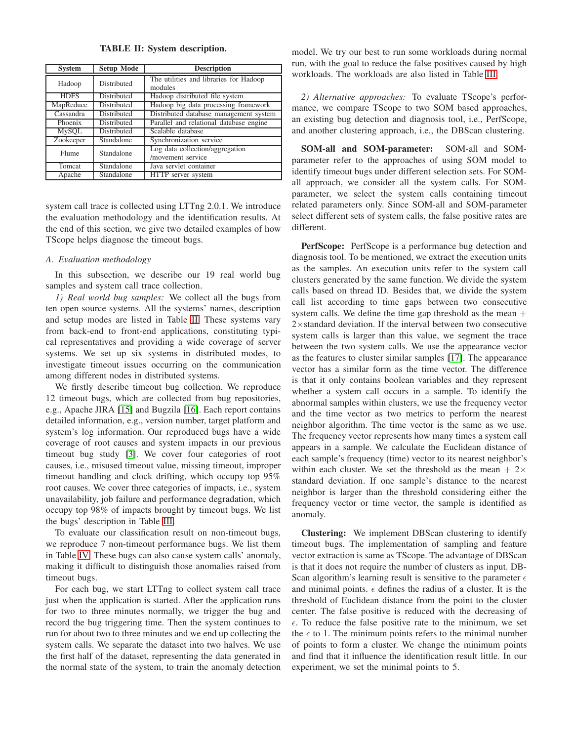TABLE II: System description.

<span id="page-4-0"></span>

| <b>Setup Mode</b><br><b>System</b> |             | <b>Description</b>                                   |  |  |
|------------------------------------|-------------|------------------------------------------------------|--|--|
| Hadoop                             | Distributed | The utilities and libraries for Hadoop<br>modules    |  |  |
| <b>HDFS</b>                        | Distributed | Hadoop distributed file system                       |  |  |
| MapReduce                          | Distributed | Hadoop big data processing framework                 |  |  |
| Cassandra                          | Distributed | Distributed database management system               |  |  |
| Phoenix                            | Distributed | Parallel and relational database engine              |  |  |
| <b>MySQL</b>                       | Distributed | Scalable database                                    |  |  |
| Zookeeper                          | Standalone  | Synchronization service                              |  |  |
| Standalone<br>Flume                |             | Log data collection/aggregation<br>/movement service |  |  |
| Tomcat                             | Standalone  | Java servlet container                               |  |  |
| Apache                             | Standalone  | HTTP server system                                   |  |  |

system call trace is collected using LTTng 2.0.1. We introduce the evaluation methodology and the identification results. At the end of this section, we give two detailed examples of how TScope helps diagnose the timeout bugs.

# *A. Evaluation methodology*

In this subsection, we describe our 19 real world bug samples and system call trace collection.

*1) Real world bug samples:* We collect all the bugs from ten open source systems. All the systems' names, description and setup modes are listed in Table [II.](#page-4-0) These systems vary from back-end to front-end applications, constituting typical representatives and providing a wide coverage of server systems. We set up six systems in distributed modes, to investigate timeout issues occurring on the communication among different nodes in distributed systems.

We firstly describe timeout bug collection. We reproduce 12 timeout bugs, which are collected from bug repositories, e.g., Apache JIRA [\[15\]](#page-9-12) and Bugzila [\[16\]](#page-9-13). Each report contains detailed information, e.g., version number, target platform and system's log information. Our reproduced bugs have a wide coverage of root causes and system impacts in our previous timeout bug study [\[3\]](#page-9-0). We cover four categories of root causes, i.e., misused timeout value, missing timeout, improper timeout handling and clock drifting, which occupy top 95% root causes. We cover three categories of impacts, i.e., system unavailability, job failure and performance degradation, which occupy top 98% of impacts brought by timeout bugs. We list the bugs' description in Table [III.](#page-5-0)

To evaluate our classification result on non-timeout bugs, we reproduce 7 non-timeout performance bugs. We list them in Table [IV.](#page-5-1) These bugs can also cause system calls' anomaly, making it difficult to distinguish those anomalies raised from timeout bugs.

For each bug, we start LTTng to collect system call trace just when the application is started. After the application runs for two to three minutes normally, we trigger the bug and record the bug triggering time. Then the system continues to run for about two to three minutes and we end up collecting the system calls. We separate the dataset into two halves. We use the first half of the dataset, representing the data generated in the normal state of the system, to train the anomaly detection model. We try our best to run some workloads during normal run, with the goal to reduce the false positives caused by high workloads. The workloads are also listed in Table [III.](#page-5-0)

*2) Alternative approaches:* To evaluate TScope's performance, we compare TScope to two SOM based approaches, an existing bug detection and diagnosis tool, i.e., PerfScope, and another clustering approach, i.e., the DBScan clustering.

SOM-all and SOM-parameter: SOM-all and SOMparameter refer to the approaches of using SOM model to identify timeout bugs under different selection sets. For SOMall approach, we consider all the system calls. For SOMparameter, we select the system calls containing timeout related parameters only. Since SOM-all and SOM-parameter select different sets of system calls, the false positive rates are different.

PerfScope: PerfScope is a performance bug detection and diagnosis tool. To be mentioned, we extract the execution units as the samples. An execution units refer to the system call clusters generated by the same function. We divide the system calls based on thread ID. Besides that, we divide the system call list according to time gaps between two consecutive system calls. We define the time gap threshold as the mean  $+$ 2×standard deviation. If the interval between two consecutive system calls is larger than this value, we segment the trace between the two system calls. We use the appearance vector as the features to cluster similar samples [\[17\]](#page-9-14). The appearance vector has a similar form as the time vector. The difference is that it only contains boolean variables and they represent whether a system call occurs in a sample. To identify the abnormal samples within clusters, we use the frequency vector and the time vector as two metrics to perform the nearest neighbor algorithm. The time vector is the same as we use. The frequency vector represents how many times a system call appears in a sample. We calculate the Euclidean distance of each sample's frequency (time) vector to its nearest neighbor's within each cluster. We set the threshold as the mean  $+2\times$ standard deviation. If one sample's distance to the nearest neighbor is larger than the threshold considering either the frequency vector or time vector, the sample is identified as anomaly.

Clustering: We implement DBScan clustering to identify timeout bugs. The implementation of sampling and feature vector extraction is same as TScope. The advantage of DBScan is that it does not require the number of clusters as input. DB-Scan algorithm's learning result is sensitive to the parameter  $\epsilon$ and minimal points.  $\epsilon$  defines the radius of a cluster. It is the threshold of Euclidean distance from the point to the cluster center. The false positive is reduced with the decreasing of  $\epsilon$ . To reduce the false positive rate to the minimum, we set the  $\epsilon$  to 1. The minimum points refers to the minimal number of points to form a cluster. We change the minimum points and find that it influence the identification result little. In our experiment, we set the minimal points to 5.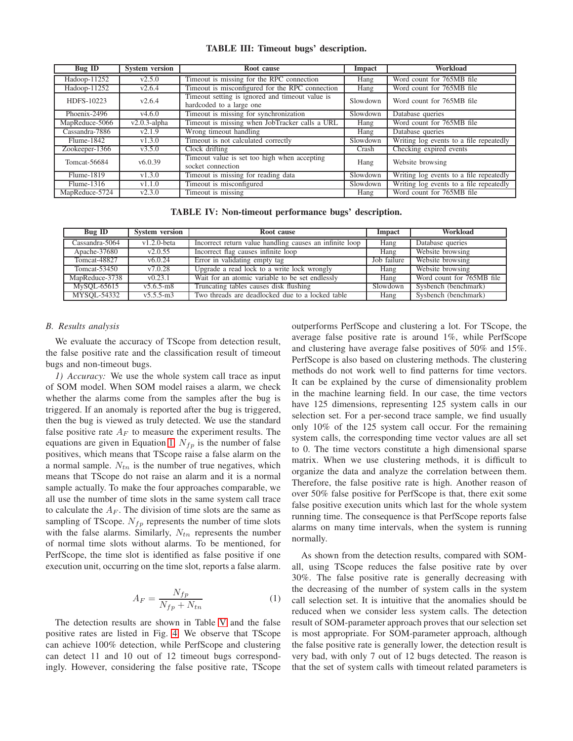<span id="page-5-0"></span>

| Bug ID               | <b>System version</b> | Root cause                                                                              | Impact   | Workload                                |
|----------------------|-----------------------|-----------------------------------------------------------------------------------------|----------|-----------------------------------------|
| Hadoop-11252         | v2.5.0                | Timeout is missing for the RPC connection                                               | Hang     | Word count for 765MB file               |
| Hadoop-11252         | v2.6.4                | Timeout is misconfigured for the RPC connection                                         | Hang     | Word count for 765MB file               |
| HDFS-10223<br>v2.6.4 |                       | Timeout setting is ignored and timeout value is<br>Slowdown<br>hardcoded to a large one |          | Word count for 765MB file               |
| Phoenix-2496         | v4.6.0                | Timeout is missing for synchronization                                                  | Slowdown | Database queries                        |
| MapReduce-5066       | $v2.0.3$ -alpha       | Timeout is missing when JobTracker calls a URL                                          | Hang     | Word count for 765MB file               |
| Cassandra-7886       | v2.1.9                | Wrong timeout handling                                                                  | Hang     | Database queries                        |
| Flume-1842           | v1.3.0                | Timeout is not calculated correctly                                                     | Slowdown | Writing log events to a file repeatedly |
| Zookeeper-1366       | v3.5.0                | Clock drifting                                                                          | Crash    | Checking expired events                 |
| Tomcat-56684         | v6.0.39               | Timeout value is set too high when accepting<br>socket connection                       | Hang     | Website browsing                        |
| Flume-1819           | v1.3.0                | Timeout is missing for reading data                                                     | Slowdown | Writing log events to a file repeatedly |
| Flume-1316           | v1.1.0                | Timeout is misconfigured                                                                | Slowdown | Writing log events to a file repeatedly |
| MapReduce-5724       | v2.3.0                | Timeout is missing                                                                      | Hang     | Word count for 765MB file               |

TABLE IV: Non-timeout performance bugs' description.

<span id="page-5-1"></span>

| Bug ID         | <b>System version</b> | Root cause                                              | Impact      | Workload                  |
|----------------|-----------------------|---------------------------------------------------------|-------------|---------------------------|
| Cassandra-5064 | $v1.2.0$ -beta        | Incorrect return value handling causes an infinite loop | Hang        | Database queries          |
| Apache-37680   | v2.0.55               | Incorrect flag causes infinite loop                     | Hang        | Website browsing          |
| Tomcat-48827   | v6.0.24               | Error in validating empty tag                           | Job failure | Website browsing          |
| Tomcat-53450   | v7.0.28               | Upgrade a read lock to a write lock wrongly             | Hang        | Website browsing          |
| MapReduce-3738 | v(0.23.1)             | Wait for an atomic variable to be set endlessly         | Hang        | Word count for 765MB file |
| MySOL-65615    | $v5.6.5 - m8$         | Truncating tables causes disk flushing                  | Slowdown    | Sysbench (benchmark)      |
| MYSOL-54332    | $v5.5.5-m3$           | Two threads are deadlocked due to a locked table        | Hang        | Sysbench (benchmark)      |

## *B. Results analysis*

We evaluate the accuracy of TScope from detection result, the false positive rate and the classification result of timeout bugs and non-timeout bugs.

*1) Accuracy:* We use the whole system call trace as input of SOM model. When SOM model raises a alarm, we check whether the alarms come from the samples after the bug is triggered. If an anomaly is reported after the bug is triggered, then the bug is viewed as truly detected. We use the standard false positive rate  $A_F$  to measure the experiment results. The equations are given in Equation [1.](#page-5-2)  $N_{fp}$  is the number of false positives, which means that TScope raise a false alarm on the a normal sample.  $N_{tn}$  is the number of true negatives, which means that TScope do not raise an alarm and it is a normal sample actually. To make the four approaches comparable, we all use the number of time slots in the same system call trace to calculate the  $A_F$ . The division of time slots are the same as sampling of TScope.  $N_{fp}$  represents the number of time slots with the false alarms. Similarly,  $N_{tn}$  represents the number of normal time slots without alarms. To be mentioned, for PerfScope, the time slot is identified as false positive if one execution unit, occurring on the time slot, reports a false alarm.

$$
A_F = \frac{N_{fp}}{N_{fp} + N_{tn}}\tag{1}
$$

The detection results are shown in Table [V](#page-6-0) and the false positive rates are listed in Fig. [4.](#page-6-1) We observe that TScope can achieve 100% detection, while PerfScope and clustering can detect 11 and 10 out of 12 timeout bugs correspondingly. However, considering the false positive rate, TScope outperforms PerfScope and clustering a lot. For TScope, the average false positive rate is around 1%, while PerfScope and clustering have average false positives of 50% and 15%. PerfScope is also based on clustering methods. The clustering methods do not work well to find patterns for time vectors. It can be explained by the curse of dimensionality problem in the machine learning field. In our case, the time vectors have 125 dimensions, representing 125 system calls in our selection set. For a per-second trace sample, we find usually only 10% of the 125 system call occur. For the remaining system calls, the corresponding time vector values are all set to 0. The time vectors constitute a high dimensional sparse matrix. When we use clustering methods, it is difficult to organize the data and analyze the correlation between them. Therefore, the false positive rate is high. Another reason of over 50% false positive for PerfScope is that, there exit some false positive execution units which last for the whole system running time. The consequence is that PerfScope reports false alarms on many time intervals, when the system is running normally.

<span id="page-5-2"></span>As shown from the detection results, compared with SOMall, using TScope reduces the false positive rate by over 30%. The false positive rate is generally decreasing with the decreasing of the number of system calls in the system call selection set. It is intuitive that the anomalies should be reduced when we consider less system calls. The detection result of SOM-parameter approach proves that our selection set is most appropriate. For SOM-parameter approach, although the false positive rate is generally lower, the detection result is very bad, with only 7 out of 12 bugs detected. The reason is that the set of system calls with timeout related parameters is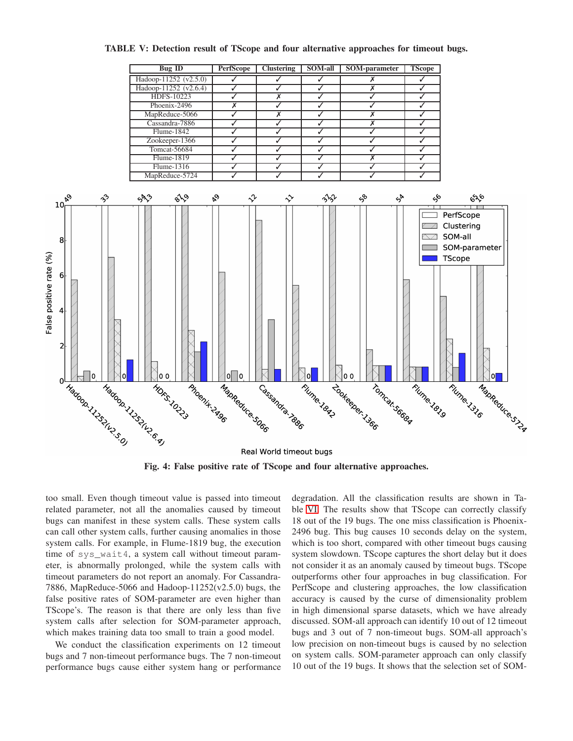<span id="page-6-1"></span><span id="page-6-0"></span>

TABLE V: Detection result of TScope and four alternative approaches for timeout bugs.

too small. Even though timeout value is passed into timeout related parameter, not all the anomalies caused by timeout bugs can manifest in these system calls. These system calls can call other system calls, further causing anomalies in those system calls. For example, in Flume-1819 bug, the execution time of sys\_wait4, a system call without timeout parameter, is abnormally prolonged, while the system calls with timeout parameters do not report an anomaly. For Cassandra-7886, MapReduce-5066 and Hadoop- $11252(v2.5.0)$  bugs, the false positive rates of SOM-parameter are even higher than TScope's. The reason is that there are only less than five system calls after selection for SOM-parameter approach, which makes training data too small to train a good model.

We conduct the classification experiments on 12 timeout bugs and 7 non-timeout performance bugs. The 7 non-timeout performance bugs cause either system hang or performance degradation. All the classification results are shown in Table [VI.](#page-7-0) The results show that TScope can correctly classify 18 out of the 19 bugs. The one miss classification is Phoenix-2496 bug. This bug causes 10 seconds delay on the system, which is too short, compared with other timeout bugs causing system slowdown. TScope captures the short delay but it does not consider it as an anomaly caused by timeout bugs. TScope outperforms other four approaches in bug classification. For PerfScope and clustering approaches, the low classification accuracy is caused by the curse of dimensionality problem in high dimensional sparse datasets, which we have already discussed. SOM-all approach can identify 10 out of 12 timeout bugs and 3 out of 7 non-timeout bugs. SOM-all approach's low precision on non-timeout bugs is caused by no selection on system calls. SOM-parameter approach can only classify 10 out of the 19 bugs. It shows that the selection set of SOM-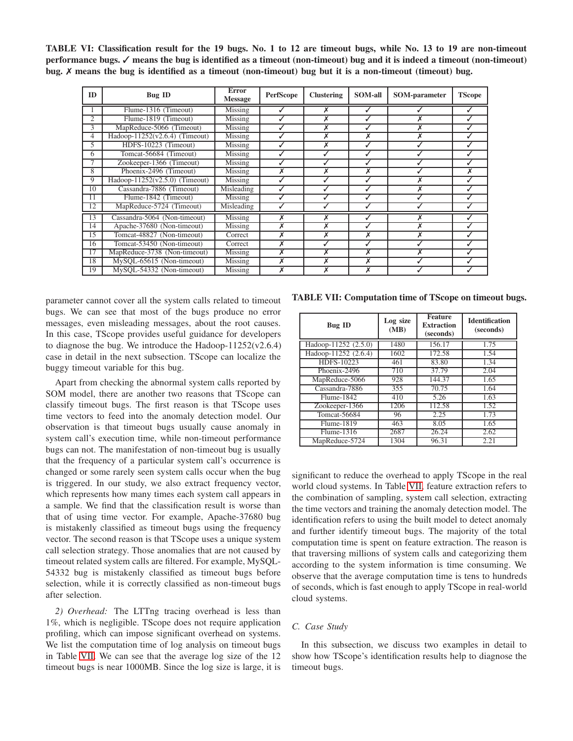<span id="page-7-0"></span>TABLE VI: Classification result for the 19 bugs. No. 1 to 12 are timeout bugs, while No. 13 to 19 are non-timeout performance bugs. √ means the bug is identified as a timeout (non-timeout) bug and it is indeed a timeout (non-timeout) bug. ✗ means the bug is identified as a timeout (non-timeout) bug but it is a non-timeout (timeout) bug.

| ID              | <b>Bug ID</b>                      | Error<br><b>Message</b> | <b>PerfScope</b> | <b>Clustering</b> | <b>SOM-all</b> | <b>SOM-parameter</b> | <b>TScope</b> |
|-----------------|------------------------------------|-------------------------|------------------|-------------------|----------------|----------------------|---------------|
|                 | Flume-1316 (Timeout)               | Missing                 |                  |                   |                |                      |               |
| $\overline{c}$  | Flume-1819 (Timeout)               | Missing                 |                  |                   |                |                      |               |
| 3               | MapReduce-5066 (Timeout)           | Missing                 |                  |                   |                |                      |               |
| 4               | Hadoop-11252( $v2.6.4$ ) (Timeout) | Missing                 |                  |                   |                |                      |               |
| 5               | HDFS-10223 (Timeout)               | Missing                 |                  |                   |                |                      |               |
| 6               | Tomcat-56684 (Timeout)             | Missing                 |                  |                   |                |                      |               |
|                 | Zookeeper-1366 (Timeout)           | Missing                 |                  |                   |                |                      |               |
| $\overline{8}$  | Phoenix-2496 (Timeout)             | Missing                 |                  |                   |                |                      |               |
| 9               | Hadoop-11252( $v2.5.0$ ) (Timeout) | Missing                 |                  |                   |                |                      |               |
| 10              | Cassandra-7886 (Timeout)           | Misleading              |                  |                   |                |                      |               |
| 11              | Flume-1842 (Timeout)               | Missing                 |                  |                   |                |                      |               |
| 12              | MapReduce-5724 (Timeout)           | Misleading              |                  |                   |                |                      |               |
| 13              | Cassandra-5064 (Non-timeout)       | Missing                 |                  |                   |                |                      |               |
| 14              | Apache-37680 (Non-timeout)         | Missing                 |                  |                   |                |                      |               |
| 15              | Tomcat-48827 (Non-timeout)         | Correct                 |                  |                   |                |                      |               |
| 16              | Tomcat-53450 (Non-timeout)         | Correct                 |                  |                   |                |                      |               |
| $\overline{17}$ | MapReduce-3738 (Non-timeout)       | Missing                 | v                |                   |                |                      |               |
| 18              | MySQL-65615 (Non-timeout)          | Missing                 |                  | X                 |                |                      |               |
| 19              | MySQL-54332 (Non-timeout)          | Missing                 | х                | x                 | X              |                      |               |

parameter cannot cover all the system calls related to timeout bugs. We can see that most of the bugs produce no error messages, even misleading messages, about the root causes. In this case, TScope provides useful guidance for developers to diagnose the bug. We introduce the Hadoop-11252(v2.6.4) case in detail in the next subsection. TScope can localize the buggy timeout variable for this bug.

Apart from checking the abnormal system calls reported by SOM model, there are another two reasons that TScope can classify timeout bugs. The first reason is that TScope uses time vectors to feed into the anomaly detection model. Our observation is that timeout bugs usually cause anomaly in system call's execution time, while non-timeout performance bugs can not. The manifestation of non-timeout bug is usually that the frequency of a particular system call's occurrence is changed or some rarely seen system calls occur when the bug is triggered. In our study, we also extract frequency vector, which represents how many times each system call appears in a sample. We find that the classification result is worse than that of using time vector. For example, Apache-37680 bug is mistakenly classified as timeout bugs using the frequency vector. The second reason is that TScope uses a unique system call selection strategy. Those anomalies that are not caused by timeout related system calls are filtered. For example, MySQL-54332 bug is mistakenly classified as timeout bugs before selection, while it is correctly classified as non-timeout bugs after selection.

*2) Overhead:* The LTTng tracing overhead is less than 1%, which is negligible. TScope does not require application profiling, which can impose significant overhead on systems. We list the computation time of log analysis on timeout bugs in Table [VII.](#page-7-1) We can see that the average log size of the 12 timeout bugs is near 1000MB. Since the log size is large, it is

<span id="page-7-1"></span>TABLE VII: Computation time of TScope on timeout bugs.

| <b>Bug ID</b>        | Log size<br>(MB) | <b>Feature</b><br><b>Extraction</b><br>(seconds) | <b>Identification</b><br>(seconds) |
|----------------------|------------------|--------------------------------------------------|------------------------------------|
| Hadoop-11252 (2.5.0) | 1480             | 156.17                                           | 1.75                               |
| Hadoop-11252 (2.6.4) | 1602             | 172.58                                           | 1.54                               |
| HDFS-10223           | 461              | 83.80                                            | 1.34                               |
| Phoenix-2496         | 710              | 37.79                                            | 2.04                               |
| MapReduce-5066       | 928              | 144.37                                           | 1.65                               |
| Cassandra-7886       | 355              | 70.75                                            | 1.64                               |
| Flume-1842           | 410              | 5.26                                             | 1.63                               |
| Zookeeper-1366       | 1206             | 112.58                                           | 1.52                               |
| <b>Tomcat-56684</b>  | 96               | 2.25                                             | 1.73                               |
| Flume-1819           | 463              | 8.05                                             | 1.65                               |
| $Flume-1316$         | 2687             | 26.24                                            | 2.62                               |
| MapReduce-5724       | 1304             | 96.31                                            | 2.21                               |

significant to reduce the overhead to apply TScope in the real world cloud systems. In Table [VII,](#page-7-1) feature extraction refers to the combination of sampling, system call selection, extracting the time vectors and training the anomaly detection model. The identification refers to using the built model to detect anomaly and further identify timeout bugs. The majority of the total computation time is spent on feature extraction. The reason is that traversing millions of system calls and categorizing them according to the system information is time consuming. We observe that the average computation time is tens to hundreds of seconds, which is fast enough to apply TScope in real-world cloud systems.

# *C. Case Study*

In this subsection, we discuss two examples in detail to show how TScope's identification results help to diagnose the timeout bugs.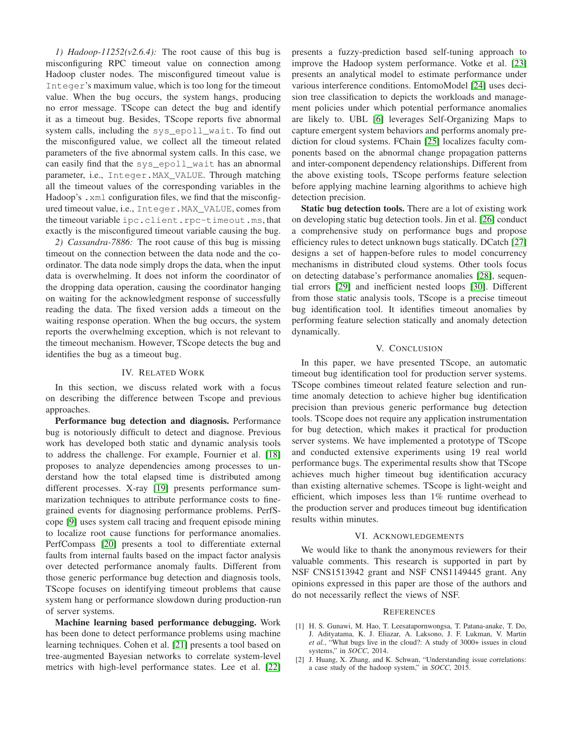*1) Hadoop-11252(v2.6.4):* The root cause of this bug is misconfiguring RPC timeout value on connection among Hadoop cluster nodes. The misconfigured timeout value is Integer's maximum value, which is too long for the timeout value. When the bug occurs, the system hangs, producing no error message. TScope can detect the bug and identify it as a timeout bug. Besides, TScope reports five abnormal system calls, including the sys epoll wait. To find out the misconfigured value, we collect all the timeout related parameters of the five abnormal system calls. In this case, we can easily find that the sys\_epoll\_wait has an abnormal parameter, i.e., Integer.MAX\_VALUE. Through matching all the timeout values of the corresponding variables in the Hadoop's . xml configuration files, we find that the misconfigured timeout value, i.e., Integer.MAX\_VALUE, comes from the timeout variable ipc.client.rpc-timeout.ms, that exactly is the misconfigured timeout variable causing the bug.

*2) Cassandra-7886:* The root cause of this bug is missing timeout on the connection between the data node and the coordinator. The data node simply drops the data, when the input data is overwhelming. It does not inform the coordinator of the dropping data operation, causing the coordinator hanging on waiting for the acknowledgment response of successfully reading the data. The fixed version adds a timeout on the waiting response operation. When the bug occurs, the system reports the overwhelming exception, which is not relevant to the timeout mechanism. However, TScope detects the bug and identifies the bug as a timeout bug.

## IV. RELATED WORK

<span id="page-8-2"></span>In this section, we discuss related work with a focus on describing the difference between Tscope and previous approaches.

Performance bug detection and diagnosis. Performance bug is notoriously difficult to detect and diagnose. Previous work has developed both static and dynamic analysis tools to address the challenge. For example, Fournier et al. [\[18\]](#page-9-15) proposes to analyze dependencies among processes to understand how the total elapsed time is distributed among different processes. X-ray [\[19\]](#page-9-16) presents performance summarization techniques to attribute performance costs to finegrained events for diagnosing performance problems. PerfScope [\[9\]](#page-9-6) uses system call tracing and frequent episode mining to localize root cause functions for performance anomalies. PerfCompass [\[20\]](#page-9-17) presents a tool to differentiate external faults from internal faults based on the impact factor analysis over detected performance anomaly faults. Different from those generic performance bug detection and diagnosis tools, TScope focuses on identifying timeout problems that cause system hang or performance slowdown during production-run of server systems.

Machine learning based performance debugging. Work has been done to detect performance problems using machine learning techniques. Cohen et al. [\[21\]](#page-9-18) presents a tool based on tree-augmented Bayesian networks to correlate system-level metrics with high-level performance states. Lee et al. [\[22\]](#page-9-19) presents a fuzzy-prediction based self-tuning approach to improve the Hadoop system performance. Votke et al. [\[23\]](#page-9-20) presents an analytical model to estimate performance under various interference conditions. EntomoModel [\[24\]](#page-9-21) uses decision tree classification to depicts the workloads and management policies under which potential performance anomalies are likely to. UBL [\[6\]](#page-9-4) leverages Self-Organizing Maps to capture emergent system behaviors and performs anomaly prediction for cloud systems. FChain [\[25\]](#page-9-22) localizes faculty components based on the abnormal change propagation patterns and inter-component dependency relationships. Different from the above existing tools, TScope performs feature selection before applying machine learning algorithms to achieve high detection precision.

Static bug detection tools. There are a lot of existing work on developing static bug detection tools. Jin et al. [\[26\]](#page-9-23) conduct a comprehensive study on performance bugs and propose efficiency rules to detect unknown bugs statically. DCatch [\[27\]](#page-9-24) designs a set of happen-before rules to model concurrency mechanisms in distributed cloud systems. Other tools focus on detecting database's performance anomalies [\[28\]](#page-9-25), sequential errors [\[29\]](#page-9-26) and inefficient nested loops [\[30\]](#page-9-27). Different from those static analysis tools, TScope is a precise timeout bug identification tool. It identifies timeout anomalies by performing feature selection statically and anomaly detection dynamically.

## V. CONCLUSION

<span id="page-8-3"></span>In this paper, we have presented TScope, an automatic timeout bug identification tool for production server systems. TScope combines timeout related feature selection and runtime anomaly detection to achieve higher bug identification precision than previous generic performance bug detection tools. TScope does not require any application instrumentation for bug detection, which makes it practical for production server systems. We have implemented a prototype of TScope and conducted extensive experiments using 19 real world performance bugs. The experimental results show that TScope achieves much higher timeout bug identification accuracy than existing alternative schemes. TScope is light-weight and efficient, which imposes less than 1% runtime overhead to the production server and produces timeout bug identification results within minutes.

## VI. ACKNOWLEDGEMENTS

We would like to thank the anonymous reviewers for their valuable comments. This research is supported in part by NSF CNS1513942 grant and NSF CNS1149445 grant. Any opinions expressed in this paper are those of the authors and do not necessarily reflect the views of NSF.

#### **REFERENCES**

- <span id="page-8-0"></span>[1] H. S. Gunawi, M. Hao, T. Leesatapornwongsa, T. Patana-anake, T. Do, J. Adityatama, K. J. Eliazar, A. Laksono, J. F. Lukman, V. Martin *et al.*, "What bugs live in the cloud?: A study of 3000+ issues in cloud systems," in *SOCC*, 2014.
- <span id="page-8-1"></span>[2] J. Huang, X. Zhang, and K. Schwan, "Understanding issue correlations: a case study of the hadoop system," in *SOCC*, 2015.